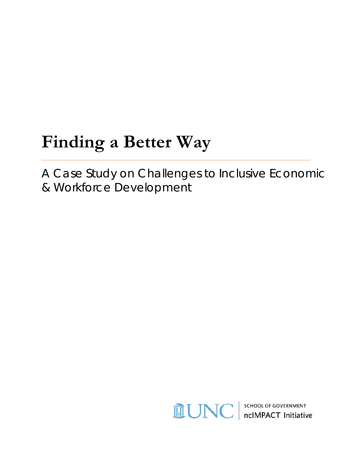# **Finding a Better Way**

A Case Study on Challenges to Inclusive Economic & Workforce Development

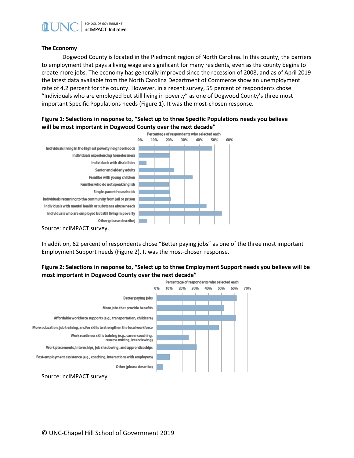

#### **The Economy**

Dogwood County is located in the Piedmont region of North Carolina. In this county, the barriers to employment that pays a living wage are significant for many residents, even as the county begins to create more jobs. The economy has generally improved since the recession of 2008, and as of April 2019 the latest data available from the North Carolina Department of Commerce show an unemployment rate of 4.2 percent for the county. However, in a recent survey, 55 percent of respondents chose "Individuals who are employed but still living in poverty" as one of Dogwood County's three most important Specific Populations needs (Figure 1). It was the most-chosen response.

## **Figure 1: Selections in response to, "Select up to three Specific Populations needs you believe will be most important in Dogwood County over the next decade"**



In addition, 62 percent of respondents chose "Better paying jobs" as one of the three most important Employment Support needs (Figure 2). It was the most-chosen response.

## **Figure 2: Selections in response to, "Select up to three Employment Support needs you believe will be most important in Dogwood County over the next decade"**

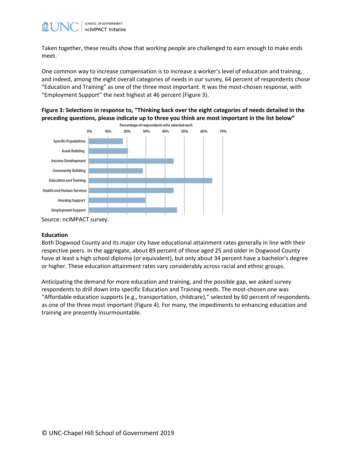

Taken together, these results show that working people are challenged to earn enough to make ends meet.

One common way to increase compensation is to increase a worker's level of education and training, and indeed, among the eight overall categories of needs in our survey, 64 percent of respondents chose "Education and Training" as one of the three most important. It was the most-chosen response, with "Employment Support" the next highest at 46 percent (Figure 3).

**Figure 3: Selections in response to, "Thinking back over the eight categories of needs detailed in the preceding questions, please indicate up to three you think are most important in the list below"**



#### **Education**

Both Dogwood County and its major city have educational attainment rates generally in line with their respective peers. In the aggregate, about 89 percent of those aged 25 and older in Dogwood County have at least a high school diploma (or equivalent), but only about 34 percent have a bachelor's degree or higher. These education attainment rates vary considerably across racial and ethnic groups.

Anticipating the demand for more education and training, and the possible gap, we asked survey respondents to drill down into specific Education and Training needs. The most-chosen one was "Affordable education supports (e.g., transportation, childcare)," selected by 60 percent of respondents as one of the three most important (Figure 4). For many, the impediments to enhancing education and training are presently insurmountable.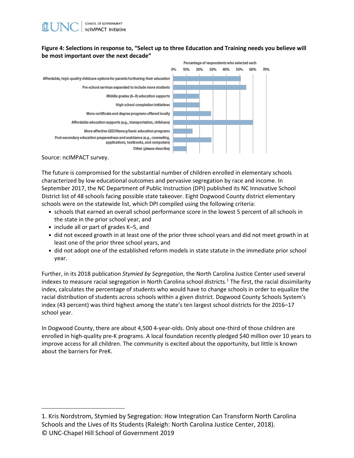## **Figure 4: Selections in response to, "Select up to three Education and Training needs you believe will be most important over the next decade"**



Source: ncIMPACT survey.

The future is compromised for the substantial number of children enrolled in elementary schools characterized by low educational outcomes and pervasive segregation by race and income. In September 2017, the NC Department of Public Instruction (DPI) published its NC Innovative School District list of 48 schools facing possible state takeover. Eight Dogwood County district elementary schools were on the statewide list, which DPI compiled using the following criteria:

- schools that earned an overall school performance score in the lowest 5 percent of all schools in the state in the prior school year, and
- include all or part of grades K–5, and
- did not exceed growth in at least one of the prior three school years and did not meet growth in at least one of the prior three school years, and
- did not adopt one of the established reform models in state statute in the immediate prior school year.

Further, in its 2018 publication *Stymied by Segregation*, the North Carolina Justice Center used several indexes to measure racial segregation in North Carolina school districts.<sup>[1](#page-3-0)</sup> The first, the racial dissimilarity index, calculates the percentage of students who would have to change schools in order to equalize the racial distribution of students across schools within a given district. Dogwood County Schools System's index (43 percent) was third highest among the state's ten largest school districts for the 2016–17 school year.

In Dogwood County, there are about 4,500 4-year-olds. Only about one-third of those children are enrolled in high-quality pre-K programs. A local foundation recently pledged \$40 million over 10 years to improve access for all children. The community is excited about the opportunity, but little is known about the barriers for PreK.

<span id="page-3-0"></span>© UNC-Chapel Hill School of Government 2019 1. Kris Nordstrom, [Stymied by Segregation: How Integration Can Transform North Carolina](http://www.ncjustice.org/sites/default/files/STYMIED%20BY%20SEGREGATION%20-%20Integration%20can%20Transform%20NC--FINAL-web.pdf)  [Schools and the Lives of Its Students](http://www.ncjustice.org/sites/default/files/STYMIED%20BY%20SEGREGATION%20-%20Integration%20can%20Transform%20NC--FINAL-web.pdf) (Raleigh: North Carolina Justice Center, 2018).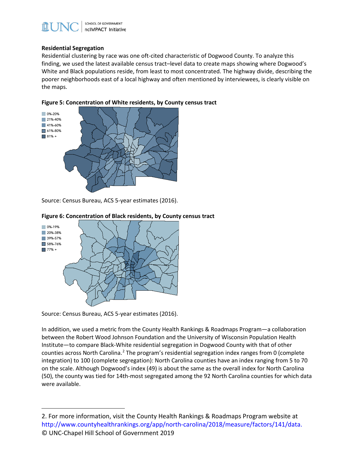

### **Residential Segregation**

Residential clustering by race was one oft-cited characteristic of Dogwood County. To analyze this finding, we used the latest available census tract–level data to create maps showing where Dogwood's White and Black populations reside, from least to most concentrated. The highway divide, describing the poorer neighborhoods east of a local highway and often mentioned by interviewees, is clearly visible on the maps.



**Figure 5: Concentration of White residents, by County census tract**

Source: Census Bureau, ACS 5-year estimates (2016).



#### **Figure 6: Concentration of Black residents, by County census tract**

Source: Census Bureau, ACS 5-year estimates (2016).

In addition, we used a metric from the County Health Rankings & Roadmaps Program—a collaboration between the Robert Wood Johnson Foundation and the University of Wisconsin Population Health Institute—to compare Black-White residential segregation in Dogwood County with that of other counties across North Carolina.<sup>[2](#page-4-0)</sup> The program's residential segregation index ranges from 0 (complete integration) to 100 (complete segregation): North Carolina counties have an index ranging from 5 to 70 on the scale. Although Dogwood's index (49) is about the same as the overall index for North Carolina (50), the county was tied for 14th-most segregated among the 92 North Carolina counties for which data were available.

<span id="page-4-0"></span><sup>©</sup> UNC-Chapel Hill School of Government 2019 2. For more information, visit the County Health Rankings & Roadmaps Program website at [http://www.countyhealthrankings.org/app/north-carolina/2018/measure/factors/141/data.](http://www.countyhealthrankings.org/app/north-carolina/2018/measure/factors/141/data)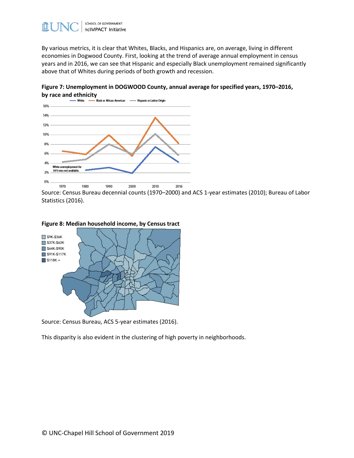

By various metrics, it is clear that Whites, Blacks, and Hispanics are, on average, living in different economies in Dogwood County. First, looking at the trend of average annual employment in census years and in 2016, we can see that Hispanic and especially Black unemployment remained significantly above that of Whites during periods of both growth and recession.

**Figure 7: Unemployment in DOGWOOD County, annual average for specified years, 1970–2016, by race and ethnicity**<br>- White - Black or African American - Hispanic or Latino Origin



Source: Census Bureau decennial counts (1970–2000) and ACS 1-year estimates (2010); Bureau of Labor Statistics (2016).



Source: Census Bureau, ACS 5-year estimates (2016).

This disparity is also evident in the clustering of high poverty in neighborhoods.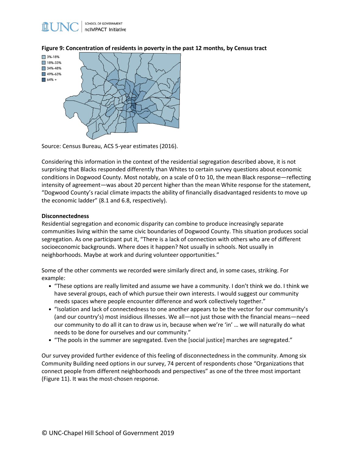

**Figure 9: Concentration of residents in poverty in the past 12 months, by Census tract**



Source: Census Bureau, ACS 5-year estimates (2016).

Considering this information in the context of the residential segregation described above, it is not surprising that Blacks responded differently than Whites to certain survey questions about economic conditions in Dogwood County. Most notably, on a scale of 0 to 10, the mean Black response—reflecting intensity of agreement—was about 20 percent higher than the mean White response for the statement, "Dogwood County's racial climate impacts the ability of financially disadvantaged residents to move up the economic ladder" (8.1 and 6.8, respectively).

#### **Disconnectedness**

Residential segregation and economic disparity can combine to produce increasingly separate communities living within the same civic boundaries of Dogwood County. This situation produces social segregation. As one participant put it, "There is a lack of connection with others who are of different socioeconomic backgrounds. Where does it happen? Not usually in schools. Not usually in neighborhoods. Maybe at work and during volunteer opportunities."

Some of the other comments we recorded were similarly direct and, in some cases, striking. For example:

- "These options are really limited and assume we have a community. I don't think we do. I think we have several groups, each of which pursue their own interests. I would suggest our community needs spaces where people encounter difference and work collectively together."
- "Isolation and lack of connectedness to one another appears to be the vector for our community's (and our country's) most insidious illnesses. We all—not just those with the financial means—need our community to do all it can to draw us in, because when we're 'in' … we will naturally do what needs to be done for ourselves and our community."
- "The pools in the summer are segregated. Even the [social justice] marches are segregated."

Our survey provided further evidence of this feeling of disconnectedness in the community. Among six Community Building need options in our survey, 74 percent of respondents chose "Organizations that connect people from different neighborhoods and perspectives" as one of the three most important (Figure 11). It was the most-chosen response.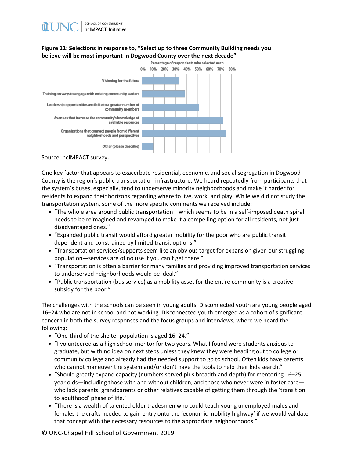# **Figure 11: Selections in response to, "Select up to three Community Building needs you believe will be most important in Dogwood County over the next decade"**



Source: ncIMPACT survey.

One key factor that appears to exacerbate residential, economic, and social segregation in Dogwood County is the region's public transportation infrastructure. We heard repeatedly from participants that the system's buses, especially, tend to underserve minority neighborhoods and make it harder for residents to expand their horizons regarding where to live, work, and play. While we did not study the transportation system, some of the more specific comments we received include:

- "The whole area around public transportation—which seems to be in a self-imposed death spiral needs to be reimagined and revamped to make it a compelling option for all residents, not just disadvantaged ones."
- "Expanded public transit would afford greater mobility for the poor who are public transit dependent and constrained by limited transit options."
- "Transportation services/supports seem like an obvious target for expansion given our struggling population—services are of no use if you can't get there."
- "Transportation is often a barrier for many families and providing improved transportation services to underserved neighborhoods would be ideal."
- "Public transportation (bus service) as a mobility asset for the entire community is a creative subsidy for the poor."

The challenges with the schools can be seen in young adults. Disconnected youth are young people aged 16–24 who are not in school and not working. Disconnected youth emerged as a cohort of significant concern in both the survey responses and the focus groups and interviews, where we heard the following:

- "One-third of the shelter population is aged 16–24."
- "I volunteered as a high school mentor for two years. What I found were students anxious to graduate, but with no idea on next steps unless they knew they were heading out to college or community college and already had the needed support to go to school. Often kids have parents who cannot maneuver the system and/or don't have the tools to help their kids search."
- "Should greatly expand capacity (numbers served plus breadth and depth) for mentoring 16–25 year olds—including those with and without children, and those who never were in foster care who lack parents, grandparents or other relatives capable of getting them through the 'transition to adulthood' phase of life."
- "There is a wealth of talented older tradesmen who could teach young unemployed males and females the crafts needed to gain entry onto the 'economic mobility highway' if we would validate that concept with the necessary resources to the appropriate neighborhoods."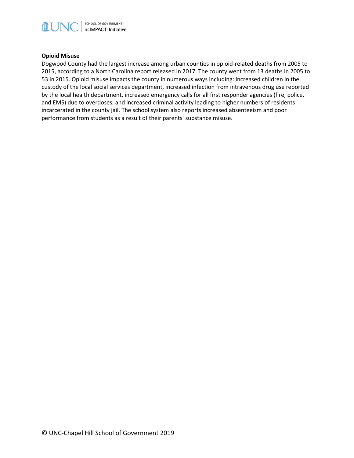

## **Opioid Misuse**

Dogwood County had the largest increase among urban counties in opioid-related deaths from 2005 to 2015, according to a North Carolina report released in 2017. The county went from 13 deaths in 2005 to 53 in 2015. Opioid misuse impacts the county in numerous ways including: increased children in the custody of the local social services department, increased infection from intravenous drug use reported by the local health department, increased emergency calls for all first responder agencies (fire, police, and EMS) due to overdoses, and increased criminal activity leading to higher numbers of residents incarcerated in the county jail. The school system also reports increased absenteeism and poor performance from students as a result of their parents' substance misuse.